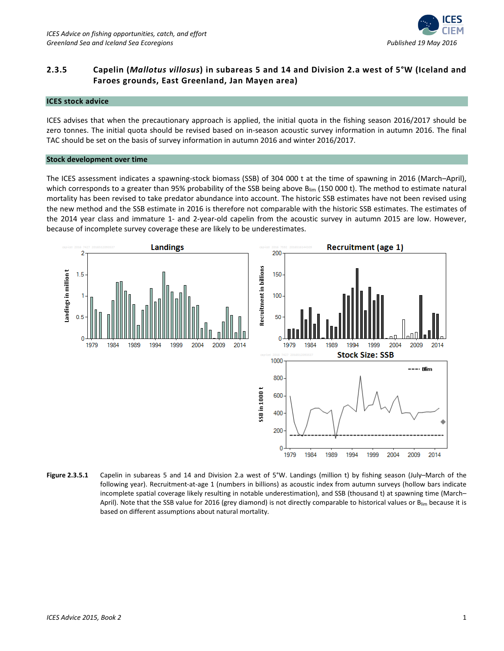

# **2.3.5 Capelin (***Mallotus villosus***) in subareas 5 and 14 and Division 2.a west of 5°W (Iceland and Faroes grounds, East Greenland, Jan Mayen area)**

### **ICES stock advice**

ICES advises that when the precautionary approach is applied, the initial quota in the fishing season 2016/2017 should be zero tonnes. The initial quota should be revised based on in-season acoustic survey information in autumn 2016. The final TAC should be set on the basis of survey information in autumn 2016 and winter 2016/2017.

#### **Stock development over time**

The ICES assessment indicates a spawning-stock biomass (SSB) of 304 000 t at the time of spawning in 2016 (March–April), which corresponds to a greater than 95% probability of the SSB being above Blim (150 000 t). The method to estimate natural mortality has been revised to take predator abundance into account. The historic SSB estimates have not been revised using the new method and the SSB estimate in 2016 is therefore not comparable with the historic SSB estimates. The estimates of the 2014 year class and immature 1- and 2-year-old capelin from the acoustic survey in autumn 2015 are low. However, because of incomplete survey coverage these are likely to be underestimates.



**Figure 2.3.5.1** Capelin in subareas 5 and 14 and Division 2.a west of 5°W. Landings (million t) by fishing season (July–March of the following year). Recruitment-at-age 1 (numbers in billions) as acoustic index from autumn surveys (hollow bars indicate incomplete spatial coverage likely resulting in notable underestimation), and SSB (thousand t) at spawning time (March– April). Note that the SSB value for 2016 (grey diamond) is not directly comparable to historical values or Blim because it is based on different assumptions about natural mortality.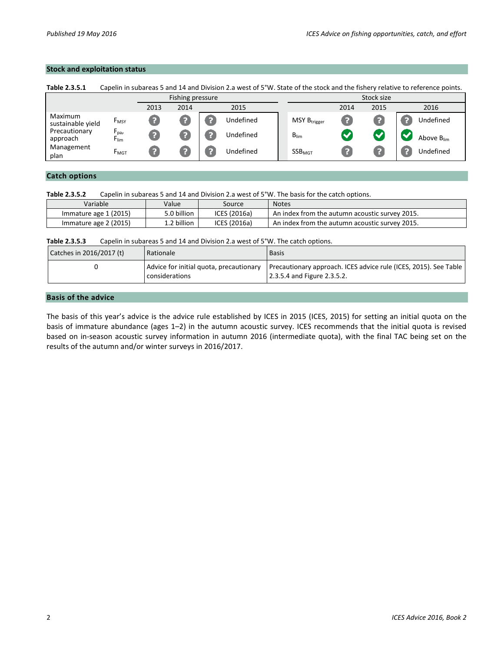## **Stock and exploitation status**

| Table 2.3.5.1                | Capelin in subareas 5 and 14 and Division 2.a west of 5°W. State of the stock and the fishery relative to reference points. |      |      |  |           |            |                          |                  |      |                        |
|------------------------------|-----------------------------------------------------------------------------------------------------------------------------|------|------|--|-----------|------------|--------------------------|------------------|------|------------------------|
| Fishing pressure             |                                                                                                                             |      |      |  |           | Stock size |                          |                  |      |                        |
|                              |                                                                                                                             | 2013 | 2014 |  | 2015      |            |                          | 2014             | 2015 | 2016                   |
| Maximum<br>sustainable yield | <b>F</b> <sub>MSY</sub>                                                                                                     |      |      |  | Undefined |            | MSY B <sub>trigger</sub> | $\left  \right $ |      | Undefined              |
| Precautionary<br>approach    | $F_{\text{pa}}$<br><b>F</b> lim                                                                                             |      |      |  | Undefined |            | $B_{\text{lim}}$         |                  |      | Above B <sub>lim</sub> |
| Management<br>plan           | <b>F</b> MGT                                                                                                                |      |      |  | Undefined |            | SSB <sub>MGT</sub>       |                  |      | Undefined              |

# **Catch options**

**Table 2.3.5.2** Capelin in subareas 5 and 14 and Division 2.a west of 5°W. The basis for the catch options.

| Variable              | Value       | Source       | <b>Notes</b>                                   |
|-----------------------|-------------|--------------|------------------------------------------------|
| Immature age 1 (2015) | 5.0 billion | ICES (2016a) | An index from the autumn acoustic survey 2015. |
| Immature age 2 (2015) | 1.2 billion | ICES (2016a) | An index from the autumn acoustic survey 2015. |

**Table 2.3.5.3** Capelin in subareas 5 and 14 and Division 2.a west of 5°W. The catch options.

| Catches in 2016/2017 (t) | Rationale                               | <b>Basis</b>                                                     |
|--------------------------|-----------------------------------------|------------------------------------------------------------------|
|                          | Advice for initial quota, precautionary | Precautionary approach. ICES advice rule (ICES, 2015). See Table |
|                          | considerations                          | 2.3.5.4 and Figure 2.3.5.2.                                      |

### **Basis of the advice**

The basis of this year's advice is the advice rule established by ICES in 2015 (ICES, 2015) for setting an initial quota on the basis of immature abundance (ages 1–2) in the autumn acoustic survey. ICES recommends that the initial quota is revised based on in-season acoustic survey information in autumn 2016 (intermediate quota), with the final TAC being set on the results of the autumn and/or winter surveys in 2016/2017.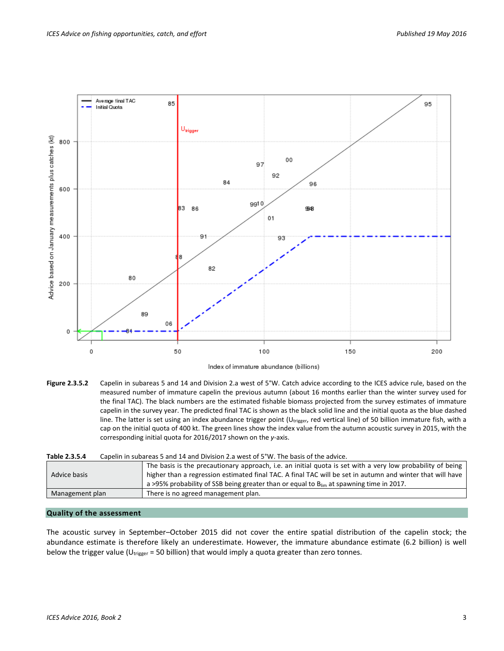

Index of immature abundance (billions)

**Figure 2.3.5.2** Capelin in subareas 5 and 14 and Division 2.a west of 5°W. Catch advice according to the ICES advice rule, based on the measured number of immature capelin the previous autumn (about 16 months earlier than the winter survey used for the final TAC). The black numbers are the estimated fishable biomass projected from the survey estimates of immature capelin in the survey year. The predicted final TAC is shown as the black solid line and the initial quota as the blue dashed line. The latter is set using an index abundance trigger point (U<sub>trigger</sub>, red vertical line) of 50 billion immature fish, with a cap on the initial quota of 400 kt. The green lines show the index value from the autumn acoustic survey in 2015, with the corresponding initial quota for 2016/2017 shown on the *y*-axis.

| Table 2.3.5.4   | Capelin in subareas 5 and 14 and Division 2.a west of 5°W. The basis of the advice.                                                                                                                                                                                                                                     |
|-----------------|-------------------------------------------------------------------------------------------------------------------------------------------------------------------------------------------------------------------------------------------------------------------------------------------------------------------------|
| Advice basis    | The basis is the precautionary approach, i.e. an initial quota is set with a very low probability of being<br>higher than a regression estimated final TAC. A final TAC will be set in autumn and winter that will have<br>a >95% probability of SSB being greater than or equal to $B_{lim}$ at spawning time in 2017. |
| Management plan | There is no agreed management plan.                                                                                                                                                                                                                                                                                     |
|                 |                                                                                                                                                                                                                                                                                                                         |

# **Quality of the assessment**

The acoustic survey in September–October 2015 did not cover the entire spatial distribution of the capelin stock; the abundance estimate is therefore likely an underestimate. However, the immature abundance estimate (6.2 billion) is well below the trigger value ( $U_{trigger}$  = 50 billion) that would imply a quota greater than zero tonnes.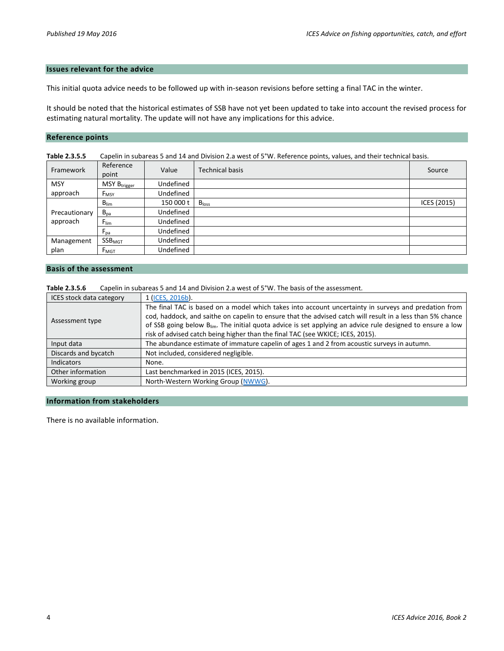## **Issues relevant for the advice**

This initial quota advice needs to be followed up with in-season revisions before setting a final TAC in the winter.

It should be noted that the historical estimates of SSB have not yet been updated to take into account the revised process for estimating natural mortality. The update will not have any implications for this advice.

## **Reference points**

| Table 2.3.5.5 | Capelin in subareas 5 and 14 and Division 2.a west of 5°W. Reference points, values, and their technical basis. |           |                        |             |  |  |  |  |
|---------------|-----------------------------------------------------------------------------------------------------------------|-----------|------------------------|-------------|--|--|--|--|
| Framework     | Reference<br>point                                                                                              | Value     | <b>Technical basis</b> | Source      |  |  |  |  |
| <b>MSY</b>    | MSY B <sub>trigger</sub>                                                                                        | Undefined |                        |             |  |  |  |  |
| approach      | $F_{MSY}$                                                                                                       | Undefined |                        |             |  |  |  |  |
|               | $B_{\text{lim}}$                                                                                                | 150 000 t | B <sub>loss</sub>      | ICES (2015) |  |  |  |  |
| Precautionary | $B_{pa}$                                                                                                        | Undefined |                        |             |  |  |  |  |
| approach      | $F_{\text{lim}}$                                                                                                | Undefined |                        |             |  |  |  |  |
|               | $F_{pa}$                                                                                                        | Undefined |                        |             |  |  |  |  |
| Management    | SSB <sub>MGT</sub>                                                                                              | Undefined |                        |             |  |  |  |  |
| plan          | F <sub>MGT</sub>                                                                                                | Undefined |                        |             |  |  |  |  |

# **Basis of the assessment**

**Table 2.3.5.6** Capelin in subareas 5 and 14 and Division 2.a west of 5°W. The basis of the assessment.

| ICES stock data category | 1 (ICES, 2016b).                                                                                                       |  |  |  |  |  |
|--------------------------|------------------------------------------------------------------------------------------------------------------------|--|--|--|--|--|
|                          | The final TAC is based on a model which takes into account uncertainty in surveys and predation from                   |  |  |  |  |  |
| Assessment type          | cod, haddock, and saithe on capelin to ensure that the advised catch will result in a less than 5% chance              |  |  |  |  |  |
|                          | of SSB going below B <sub>lim</sub> . The initial quota advice is set applying an advice rule designed to ensure a low |  |  |  |  |  |
|                          | risk of advised catch being higher than the final TAC (see WKICE; ICES, 2015).                                         |  |  |  |  |  |
| Input data               | The abundance estimate of immature capelin of ages 1 and 2 from acoustic surveys in autumn.                            |  |  |  |  |  |
| Discards and bycatch     | Not included, considered negligible.                                                                                   |  |  |  |  |  |
| <b>Indicators</b>        | None.                                                                                                                  |  |  |  |  |  |
| Other information        | Last benchmarked in 2015 (ICES, 2015).                                                                                 |  |  |  |  |  |
| Working group            | North-Western Working Group (NWWG).                                                                                    |  |  |  |  |  |

#### **Information from stakeholders**

There is no available information.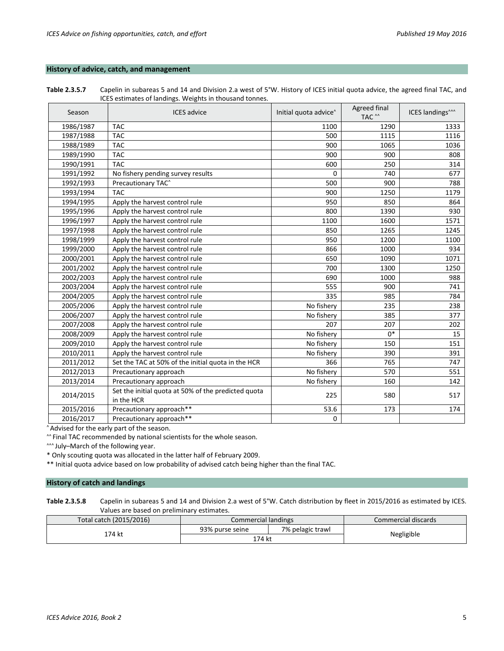## **History of advice, catch, and management**

**Table 2.3.5.7** Capelin in subareas 5 and 14 and Division 2.a west of 5°W. History of ICES initial quota advice, the agreed final TAC, and ICES estimates of landings. Weights in thousand tonnes.

| Season    | <b>ICES</b> advice                                                | Initial quota advice <sup>^</sup> | Agreed final<br>TAC <sup>^^</sup> | ICES landings <sup>^^^</sup> |
|-----------|-------------------------------------------------------------------|-----------------------------------|-----------------------------------|------------------------------|
| 1986/1987 | <b>TAC</b>                                                        | 1100                              | 1290                              | 1333                         |
| 1987/1988 | <b>TAC</b>                                                        | 500                               | 1115                              | 1116                         |
| 1988/1989 | <b>TAC</b>                                                        | 900                               | 1065                              | 1036                         |
| 1989/1990 | <b>TAC</b>                                                        | 900                               | 900                               | 808                          |
| 1990/1991 | <b>TAC</b>                                                        | 600                               | 250                               | 314                          |
| 1991/1992 | No fishery pending survey results                                 | 0                                 | 740                               | 677                          |
| 1992/1993 | Precautionary TAC <sup>^</sup>                                    | 500                               | 900                               | 788                          |
| 1993/1994 | <b>TAC</b>                                                        | 900                               | 1250                              | 1179                         |
| 1994/1995 | Apply the harvest control rule                                    | 950                               | 850                               | 864                          |
| 1995/1996 | Apply the harvest control rule                                    | 800                               | 1390                              | 930                          |
| 1996/1997 | Apply the harvest control rule                                    | 1100                              | 1600                              | 1571                         |
| 1997/1998 | Apply the harvest control rule                                    | 850                               | 1265                              | 1245                         |
| 1998/1999 | Apply the harvest control rule                                    | 950                               | 1200                              | 1100                         |
| 1999/2000 | Apply the harvest control rule                                    | 866                               | 1000                              | 934                          |
| 2000/2001 | Apply the harvest control rule                                    | 650                               | 1090                              | 1071                         |
| 2001/2002 | Apply the harvest control rule                                    | 700                               | 1300                              | 1250                         |
| 2002/2003 | Apply the harvest control rule                                    | 690                               | 1000                              | 988                          |
| 2003/2004 | Apply the harvest control rule                                    | 555                               | 900                               | 741                          |
| 2004/2005 | Apply the harvest control rule                                    | 335                               | 985                               | 784                          |
| 2005/2006 | Apply the harvest control rule                                    | No fishery                        | 235                               | 238                          |
| 2006/2007 | Apply the harvest control rule                                    | No fishery                        | 385                               | 377                          |
| 2007/2008 | Apply the harvest control rule                                    | 207                               | 207                               | 202                          |
| 2008/2009 | Apply the harvest control rule                                    | No fishery                        | $0*$                              | 15                           |
| 2009/2010 | Apply the harvest control rule                                    | No fishery                        | 150                               | 151                          |
| 2010/2011 | Apply the harvest control rule                                    | No fishery                        | 390                               | 391                          |
| 2011/2012 | Set the TAC at 50% of the initial quota in the HCR                | 366                               | 765                               | 747                          |
| 2012/2013 | Precautionary approach                                            | No fishery                        | 570                               | 551                          |
| 2013/2014 | Precautionary approach                                            | No fishery                        | 160                               | 142                          |
| 2014/2015 | Set the initial quota at 50% of the predicted quota<br>in the HCR | 225                               | 580                               | 517                          |
| 2015/2016 | Precautionary approach**                                          | 53.6                              | 173                               | 174                          |
| 2016/2017 | Precautionary approach**                                          | $\Omega$                          |                                   |                              |

^ Advised for the early part of the season.

^^ Final TAC recommended by national scientists for the whole season.

^^^ July-March of the following year.

\* Only scouting quota was allocated in the latter half of February 2009.

\*\* Initial quota advice based on low probability of advised catch being higher than the final TAC.

### **History of catch and landings**

**Table 2.3.5.8** Capelin in subareas 5 and 14 and Division 2.a west of 5°W. Catch distribution by fleet in 2015/2016 as estimated by ICES. Values are based on preliminary estimates.

| Total catch (2015/2016) | Commercial landings |                  | Commercial discards |  |
|-------------------------|---------------------|------------------|---------------------|--|
| `74 kt                  | 93% purse seine     | 7% pelagic trawl |                     |  |
|                         | 174 kt              |                  | Negligible          |  |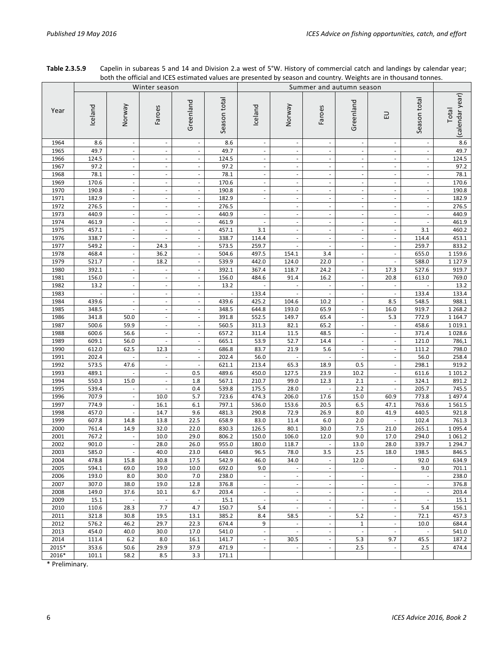|       |         |                             |                          |                          |              | both the official and reed estimated values are presented by season and country. Weights are in thousand tonnest<br>Summer and autumn season |                          |                          |                          |                          |                          |                          |
|-------|---------|-----------------------------|--------------------------|--------------------------|--------------|----------------------------------------------------------------------------------------------------------------------------------------------|--------------------------|--------------------------|--------------------------|--------------------------|--------------------------|--------------------------|
|       |         |                             | Winter season            |                          |              |                                                                                                                                              |                          |                          |                          |                          |                          |                          |
| Year  | Iceland | Veway                       | Faroes                   | Greenland                | Season total | Iceland                                                                                                                                      | Norway                   | Faroes                   | Greenland                | 긊                        | Season total             | (calendar year)<br>Total |
| 1964  | 8.6     |                             |                          | $\overline{\phantom{a}}$ | $8.6\,$      | $\overline{\phantom{a}}$                                                                                                                     | $\overline{\phantom{a}}$ | $\overline{\phantom{a}}$ |                          | ÷,                       |                          | 8.6                      |
| 1965  | 49.7    | $\overline{\phantom{a}}$    | $\overline{\phantom{a}}$ | $\overline{\phantom{a}}$ | 49.7         | $\overline{\phantom{a}}$                                                                                                                     | $\overline{\phantom{a}}$ | $\overline{\phantom{a}}$ | ×.                       | $\overline{\phantom{a}}$ |                          | 49.7                     |
| 1966  | 124.5   |                             |                          |                          | 124.5        |                                                                                                                                              | $\overline{\phantom{a}}$ | $\overline{\phantom{a}}$ |                          |                          |                          | 124.5                    |
| 1967  | 97.2    |                             |                          |                          | 97.2         |                                                                                                                                              | $\sim$                   | $\bar{a}$                |                          |                          |                          | 97.2                     |
| 1968  | 78.1    | $\overline{\phantom{a}}$    | ÷,                       | $\overline{\phantom{a}}$ | 78.1         | $\overline{\phantom{a}}$                                                                                                                     | $\overline{\phantom{a}}$ | $\overline{\phantom{a}}$ | $\overline{\phantom{a}}$ | ÷,                       | $\overline{\phantom{a}}$ | 78.1                     |
| 1969  | 170.6   |                             |                          |                          | 170.6        |                                                                                                                                              | $\overline{\phantom{a}}$ | $\overline{\phantom{a}}$ |                          |                          |                          | 170.6                    |
| 1970  | 190.8   | $\mathcal{L}_{\mathcal{A}}$ | $\overline{\phantom{a}}$ | $\overline{\phantom{a}}$ | 190.8        | $\overline{\phantom{a}}$                                                                                                                     | $\bar{\phantom{a}}$      | $\overline{\phantom{a}}$ | $\overline{\phantom{a}}$ | $\overline{\phantom{a}}$ | $\overline{\phantom{a}}$ | 190.8                    |
| 1971  | 182.9   |                             | ÷,                       | $\overline{\phantom{a}}$ | 182.9        | $\overline{\phantom{a}}$                                                                                                                     | $\overline{\phantom{a}}$ | $\overline{\phantom{a}}$ |                          | $\overline{\phantom{a}}$ | ÷,                       | 182.9                    |
| 1972  | 276.5   |                             |                          |                          | 276.5        |                                                                                                                                              | $\overline{\phantom{a}}$ | $\overline{\phantom{a}}$ |                          |                          |                          | 276.5                    |
| 1973  | 440.9   | $\overline{\phantom{a}}$    | $\overline{\phantom{a}}$ |                          | 440.9        |                                                                                                                                              | $\overline{\phantom{a}}$ | $\overline{\phantom{a}}$ |                          | $\frac{1}{2}$            |                          | 440.9                    |
| 1974  | 461.9   |                             |                          |                          | 461.9        |                                                                                                                                              | $\overline{\phantom{a}}$ | $\overline{\phantom{a}}$ |                          |                          |                          | 461.9                    |
| 1975  | 457.1   | $\overline{\phantom{a}}$    | $\overline{\phantom{a}}$ | ÷,                       | 457.1        | 3.1                                                                                                                                          | $\Box$                   | $\Box$                   | $\overline{\phantom{a}}$ | $\overline{\phantom{a}}$ | 3.1                      | 460.2                    |
| 1976  | 338.7   | $\overline{\phantom{a}}$    | ×,                       |                          | 338.7        | 114.4                                                                                                                                        | $\overline{\phantom{a}}$ | ÷.                       |                          |                          | 114.4                    | 453.1                    |
| 1977  | 549.2   |                             | 24.3                     |                          | 573.5        | 259.7                                                                                                                                        |                          |                          |                          |                          | 259.7                    | 833.2                    |
| 1978  | 468.4   | $\overline{\phantom{a}}$    | 36.2                     | $\overline{\phantom{a}}$ | 504.6        | 497.5                                                                                                                                        | 154.1                    | 3.4                      | $\overline{\phantom{a}}$ | $\blacksquare$           | 655.0                    | 1 1 5 9 . 6              |
| 1979  | 521.7   | $\overline{\phantom{a}}$    | 18.2                     | $\sim$                   | 539.9        | 442.0                                                                                                                                        | 124.0                    | 22.0                     |                          | ÷,                       | 588.0                    | 1 1 2 7 . 9              |
| 1980  | 392.1   |                             | ÷,                       |                          | 392.1        | 367.4                                                                                                                                        | 118.7                    | 24.2                     |                          | 17.3                     | 527.6                    | 919.7                    |
| 1981  | 156.0   | $\overline{\phantom{a}}$    | ÷,                       |                          | 156.0        | 484.6                                                                                                                                        | 91.4                     | 16.2                     |                          | 20.8                     | 613.0                    | 769.0                    |
| 1982  | 13.2    |                             |                          |                          | 13.2         |                                                                                                                                              |                          |                          |                          |                          |                          | 13.2                     |
| 1983  | $\Box$  | $\overline{\phantom{a}}$    | $\overline{\phantom{a}}$ | $\overline{\phantom{a}}$ | ÷,           | 133.4                                                                                                                                        | $\Box$                   | $\overline{\phantom{a}}$ | $\overline{\phantom{a}}$ | $\blacksquare$           | 133.4                    | 133.4                    |
| 1984  | 439.6   |                             |                          |                          | 439.6        | 425.2                                                                                                                                        | 104.6                    | 10.2                     |                          | 8.5                      | 548.5                    | 988.1                    |
| 1985  | 348.5   |                             |                          |                          | 348.5        | 644.8                                                                                                                                        | 193.0                    | 65.9                     |                          | 16.0                     | 919.7                    | 1 2 68.2                 |
| 1986  | 341.8   | 50.0                        | $\overline{\phantom{a}}$ | $\overline{\phantom{a}}$ | 391.8        | 552.5                                                                                                                                        | 149.7                    | 65.4                     | $\overline{\phantom{a}}$ | 5.3                      | 772.9                    | 1 1 64.7                 |
| 1987  | 500.6   | 59.9                        |                          |                          | 560.5        | 311.3                                                                                                                                        | 82.1                     | 65.2                     |                          |                          | 458.6                    | 1019.1                   |
| 1988  | 600.6   | 56.6                        | $\overline{\phantom{a}}$ | $\overline{\phantom{a}}$ | 657.2        | 311.4                                                                                                                                        | 11.5                     | 48.5                     | $\overline{\phantom{a}}$ | $\overline{\phantom{a}}$ | 371.4                    | 1028.6                   |
| 1989  | 609.1   | 56.0                        |                          |                          | 665.1        | 53.9                                                                                                                                         | 52.7                     | 14.4                     |                          | ÷,                       | 121.0                    | 786,1                    |
| 1990  | 612.0   | 62.5                        | 12.3                     |                          | 686.8        | 83.7                                                                                                                                         | 21.9                     | 5.6                      |                          | ÷,                       | 111.2                    | 798.0                    |
| 1991  | 202.4   |                             |                          | $\overline{\phantom{a}}$ | 202.4        | 56.0                                                                                                                                         |                          |                          |                          | $\frac{1}{2}$            | 56.0                     | 258.4                    |
| 1992  | 573.5   | 47.6                        |                          |                          | 621.1        | 213.4                                                                                                                                        | 65.3                     | 18.9                     | 0.5                      |                          | 298.1                    | 919.2                    |
| 1993  | 489.1   |                             | $\overline{\phantom{a}}$ | 0.5                      | 489.6        | 450.0                                                                                                                                        | 127.5                    | 23.9                     | 10.2                     | $\overline{\phantom{a}}$ | 611.6                    | 1 101.2                  |
| 1994  | 550.3   | 15.0                        | ÷,                       | 1.8                      | 567.1        | 210.7                                                                                                                                        | 99.0                     | 12.3                     | 2.1                      | ÷,                       | 324.1                    | 891.2                    |
| 1995  | 539.4   |                             |                          | 0.4                      | 539.8        | 175.5                                                                                                                                        | 28.0                     |                          | 2.2                      |                          | 205.7                    | 745.5                    |
| 1996  | 707.9   | $\overline{\phantom{a}}$    | 10.0                     | 5.7                      | 723.6        | 474.3                                                                                                                                        | 206.0                    | 17.6                     | 15.0                     | 60.9                     | 773.8                    | 1497.4                   |
| 1997  | 774.9   | $\overline{\phantom{a}}$    | 16.1                     | $6.1\,$                  | 797.1        | 536.0                                                                                                                                        | 153.6                    | 20.5                     | 6.5                      | 47.1                     | 763.6                    | 1561.5                   |
| 1998  | 457.0   |                             | 14.7                     | 9.6                      | 481.3        | 290.8                                                                                                                                        | 72.9                     | 26.9                     | 8.0                      | 41.9                     | 440.5                    | 921.8                    |
| 1999  | 607.8   | 14.8                        | 13.8                     | 22.5                     | 658.9        | 83.0                                                                                                                                         | 11.4                     | 6.0                      | 2.0                      |                          | 102.4                    | 761.3                    |
| 2000  | 761.4   | 14.9                        | 32.0                     | 22.0                     | 830.3        | 126.5                                                                                                                                        | 80.1                     | 30.0                     | 7.5                      | 21.0                     | 265.1                    | 1095.4                   |
| 2001  | 767.2   | $\overline{\phantom{a}}$    | 10.0                     | 29.0                     | 806.2        | 150.0                                                                                                                                        | 106.0                    | 12.0                     | 9.0                      | 17.0                     | 294.0                    | 1061.2                   |
| 2002  | 901.0   | $\overline{\phantom{a}}$    | 28.0                     | 26.0                     | 955.0        | 180.0                                                                                                                                        | 118.7                    | $\overline{\phantom{a}}$ | 13.0                     | 28.0                     | 339.7                    | 1 2 9 4.7                |
| 2003  | 585.0   | $\bar{\phantom{a}}$         | 40.0                     | 23.0                     | 648.0        | 96.5                                                                                                                                         | 78.0                     | 3.5                      | 2.5                      | 18.0                     | 198.5                    | 846.5                    |
| 2004  | 478.8   | 15.8                        | 30.8                     | 17.5                     | 542.9        | 46.0                                                                                                                                         | 34.0                     | $\overline{\phantom{a}}$ | 12.0                     |                          | 92.0                     | 634.9                    |
| 2005  | 594.1   | 69.0                        | 19.0                     | 10.0                     | 692.0        | 9.0                                                                                                                                          |                          | $\overline{\phantom{a}}$ |                          |                          | 9.0                      | 701.1                    |
| 2006  | 193.0   | 8.0                         | 30.0                     | 7.0                      | 238.0        | $\overline{\phantom{a}}$                                                                                                                     | $\overline{\phantom{a}}$ | $\bar{\phantom{a}}$      | $\omega$                 |                          | $\overline{\phantom{a}}$ | 238.0                    |
| 2007  | 307.0   | 38.0                        | 19.0                     | 12.8                     | 376.8        | $\overline{\phantom{a}}$                                                                                                                     | $\sim$                   | $\overline{\phantom{a}}$ | $\overline{\phantom{a}}$ | ÷,                       | ä,                       | 376.8                    |
| 2008  | 149.0   | 37.6                        | 10.1                     | 6.7                      | 203.4        | J.                                                                                                                                           | $\omega$                 | $\sim$                   | $\omega$                 | $\bar{a}$                | $\overline{\phantom{a}}$ | 203.4                    |
| 2009  | 15.1    | $\blacksquare$              | $\frac{1}{2}$            | $\overline{\phantom{a}}$ | 15.1         | $\overline{\phantom{a}}$                                                                                                                     | $\overline{\phantom{a}}$ | $\overline{\phantom{a}}$ | $\overline{\phantom{a}}$ | $\frac{1}{2}$            | $\overline{\phantom{a}}$ | 15.1                     |
| 2010  | 110.6   | 28.3                        | 7.7                      | 4.7                      | 150.7        | 5.4                                                                                                                                          | $\overline{\phantom{a}}$ | $\overline{\phantom{a}}$ |                          | ÷,                       | 5.4                      | 156.1                    |
| 2011  | 321.8   | 30.8                        | 19.5                     | 13.1                     | 385.2        | 8.4                                                                                                                                          | 58.5                     | $\overline{\phantom{a}}$ | 5.2                      | $\overline{\phantom{a}}$ | 72.1                     | 457.3                    |
| 2012  | 576.2   | 46.2                        | 29.7                     | 22.3                     | 674.4        | 9                                                                                                                                            | $\overline{\phantom{a}}$ | $\overline{\phantom{a}}$ | $\mathbf{1}$             | $\blacksquare$           | 10.0                     | 684.4                    |
| 2013  | 454.0   | 40.0                        | 30.0                     | 17.0                     | 541.0        |                                                                                                                                              | $\overline{\phantom{a}}$ | $\overline{\phantom{a}}$ | $\omega$                 | $\overline{\phantom{a}}$ |                          | 541.0                    |
| 2014  | 111.4   | 6.2                         | 8.0                      | 16.1                     | 141.7        | $\overline{\phantom{a}}$                                                                                                                     | 30.5                     | $\overline{\phantom{a}}$ | 5.3                      | 9.7                      | 45.5                     | 187.2                    |
| 2015* | 353.6   | 50.6                        | 29.9                     | 37.9                     | 471.9        | $\overline{\phantom{a}}$                                                                                                                     | $\overline{\phantom{a}}$ | $\overline{\phantom{a}}$ | 2.5                      | $\overline{\phantom{a}}$ | 2.5                      | 474.4                    |
| 2016* | 101.1   | 58.2                        | 8.5                      | 3.3                      | 171.1        |                                                                                                                                              |                          |                          |                          |                          |                          |                          |
|       |         |                             |                          |                          |              |                                                                                                                                              |                          |                          |                          |                          |                          |                          |

| Table 2.3.5.9 | Capelin in subareas 5 and 14 and Division 2.a west of 5°W. History of commercial catch and landings by calendar year; |
|---------------|-----------------------------------------------------------------------------------------------------------------------|
|               | both the official and ICES estimated values are presented by season and country. Weights are in thousand tonnes.      |

\* Preliminary.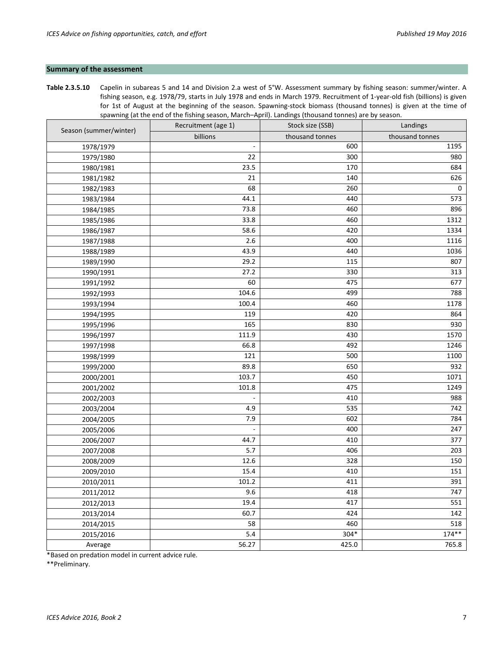## **Summary of the assessment**

**Table 2.3.5.10** Capelin in subareas 5 and 14 and Division 2.a west of 5°W. Assessment summary by fishing season: summer/winter. A fishing season, e.g. 1978/79, starts in July 1978 and ends in March 1979. Recruitment of 1-year-old fish (billions) is given for 1st of August at the beginning of the season. Spawning-stock biomass (thousand tonnes) is given at the time of spawning (at the end of the fishing season, March–April). Landings (thousand tonnes) are by season.

|                        | Recruitment (age 1)      | Stock size (SSB) | Landings        |
|------------------------|--------------------------|------------------|-----------------|
| Season (summer/winter) | billions                 | thousand tonnes  | thousand tonnes |
| 1978/1979              | $\overline{\phantom{a}}$ | 600              | 1195            |
| 1979/1980              | 22                       | 300              | 980             |
| 1980/1981              | 23.5                     | 170              | 684             |
| 1981/1982              | 21                       | 140              | 626             |
| 1982/1983              | 68                       | 260              | 0               |
| 1983/1984              | 44.1                     | 440              | 573             |
| 1984/1985              | 73.8                     | 460              | 896             |
| 1985/1986              | 33.8                     | 460              | 1312            |
| 1986/1987              | 58.6                     | 420              | 1334            |
| 1987/1988              | 2.6                      | 400              | 1116            |
| 1988/1989              | 43.9                     | 440              | 1036            |
| 1989/1990              | 29.2                     | 115              | 807             |
| 1990/1991              | 27.2                     | 330              | 313             |
| 1991/1992              | 60                       | 475              | 677             |
| 1992/1993              | 104.6                    | 499              | 788             |
| 1993/1994              | 100.4                    | 460              | 1178            |
| 1994/1995              | 119                      | 420              | 864             |
| 1995/1996              | 165                      | 830              | 930             |
| 1996/1997              | 111.9                    | 430              | 1570            |
| 1997/1998              | 66.8                     | 492              | 1246            |
| 1998/1999              | 121                      | 500              | 1100            |
| 1999/2000              | 89.8                     | 650              | 932             |
| 2000/2001              | 103.7                    | 450              | 1071            |
| 2001/2002              | 101.8                    | 475              | 1249            |
| 2002/2003              | ÷                        | 410              | 988             |
| 2003/2004              | 4.9                      | 535              | 742             |
| 2004/2005              | 7.9                      | 602              | 784             |
| 2005/2006              |                          | 400              | 247             |
| 2006/2007              | 44.7                     | 410              | 377             |
| 2007/2008              | 5.7                      | 406              | 203             |
| 2008/2009              | 12.6                     | 328              | 150             |
| 2009/2010              | 15.4                     | 410              | 151             |
| 2010/2011              | 101.2                    | 411              | 391             |
| 2011/2012              | 9.6                      | 418              | 747             |
| 2012/2013              | 19.4                     | 417              | 551             |
| 2013/2014              | 60.7                     | 424              | 142             |
| 2014/2015              | 58                       | 460              | 518             |
| 2015/2016              | 5.4                      | 304*             | $174**$         |
| Average                | 56.27                    | 425.0            | 765.8           |

\*Based on predation model in current advice rule.

\*\*Preliminary.